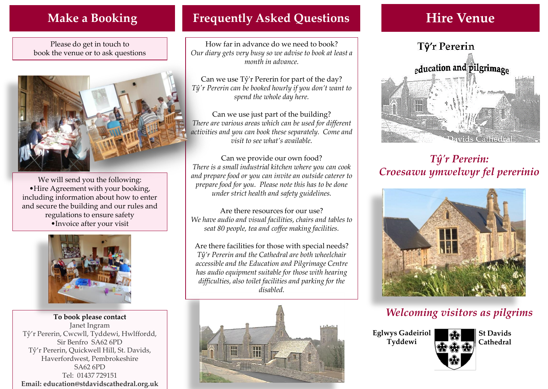# **Make a Booking**

Please do get in touch to book the venue or to ask questions



We will send you the following: •Hire Agreement with your booking, including information about how to enter and secure the building and our rules and regulations to ensure safety •Invoice after your visit



**To book please contact** Janet Ingram Tŷ'r Pererin, Cwcwll, Tyddewi, Hwlffordd, Sir Benfro SA62 6PD Tŷ'r Pererin, Quickwell Hill, St. Davids, Haverfordwest, Pembrokeshire SA62 6PD Tel: 01437 729151 **Email: education@stdavidscathedral.org.uk** 

# **Frequently Asked Questions Hire Venue**

How far in advance do we need to book? *Our diary gets very busy so we advise to book at least a month in advance.*

Can we use Tŷ'r Pererin for part of the day? *Tŷ'r Pererin can be booked hourly if you don't want to spend the whole day here.*

Can we use just part of the building? *There are various areas which can be used for different activities and you can book these separately. Come and visit to see what's available.*

Can we provide our own food? *There is a small industrial kitchen where you can cook and prepare food or you can invite an outside caterer to prepare food for you. Please note this has to be done under strict health and safety guidelines.* 

Are there resources for our use? *We have audio and visual facilities, chairs and tables to seat 80 people, tea and coffee making facilities.*

Are there facilities for those with special needs? *Tŷ'r Pererin and the Cathedral are both wheelchair accessible and the Education and Pilgrimage Centre has audio equipment suitable for those with hearing difficulties, also toilet facilities and parking for the disabled.* 





# *Tŷ'r Pererin: Croesawu ymwelwyr fel pererinio*



# *Welcoming visitors as pilgrims*

**Eglwys Gadeiriol Tyddewi**